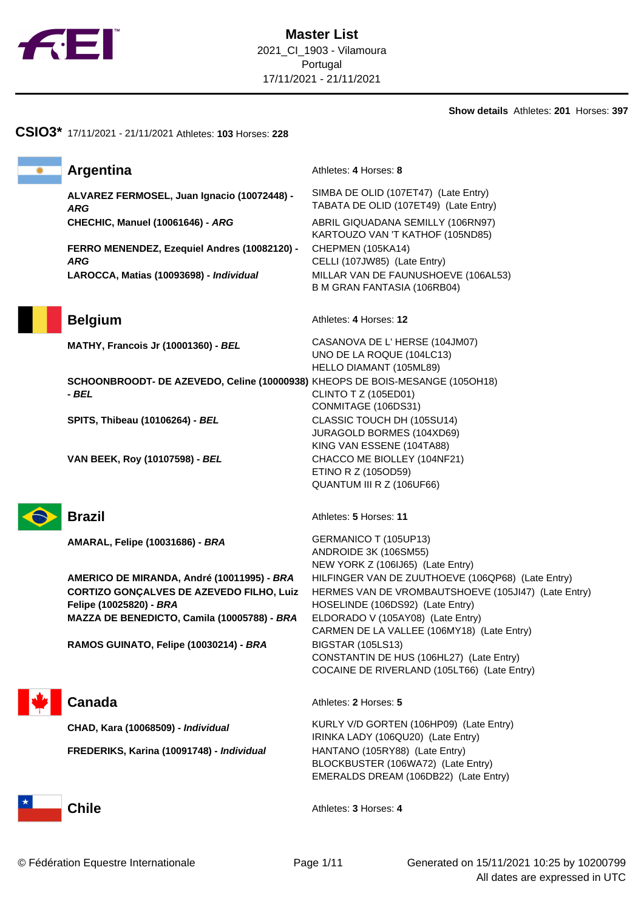

**Show details** Athletes: **201** Horses: **397**

# **CSIO3\*** 17/11/2021 - 21/11/2021 Athletes: **103** Horses: **228 Argentina** Athletes: 4 Horses: 8 **ALVAREZ FERMOSEL, Juan Ignacio (10072448) - ARG** SIMBA DE OLID (107ET47) (Late Entry) TABATA DE OLID (107ET49) (Late Entry) **CHECHIC, Manuel (10061646) - ARG** ABRIL GIQUADANA SEMILLY (106RN97) KARTOUZO VAN 'T KATHOF (105ND85) **FERRO MENENDEZ, Ezequiel Andres (10082120) - ARG** CHEPMEN (105KA14) CELLI (107JW85) (Late Entry) **LAROCCA, Matias (10093698) - Individual** MILLAR VAN DE FAUNUSHOEVE (106AL53) B M GRAN FANTASIA (106RB04) **Belgium** Athletes: 4 Horses: 12 **MATHY, Francois Jr (10001360) - BEL** CASANOVA DE L' HERSE (104JM07) UNO DE LA ROQUE (104LC13) HELLO DIAMANT (105ML89) **SCHOONBROODT- DE AZEVEDO, Celine (10000938)** KHEOPS DE BOIS-MESANGE (105OH18) **- BEL** CLINTO T Z (105ED01) CONMITAGE (106DS31) **SPITS, Thibeau (10106264) - BEL** CLASSIC TOUCH DH (105SU14) JURAGOLD BORMES (104XD69) KING VAN ESSENE (104TA88) **VAN BEEK, Roy (10107598) - BEL** CHACCO ME BIOLLEY (104NF21) ETINO R Z (105OD59) QUANTUM III R Z (106UF66) **Brazil** Athletes: **5** Horses: **11 AMARAL, Felipe (10031686) - BRA** GERMANICO T (105UP13) ANDROIDE 3K (106SM55) NEW YORK Z (106IJ65) (Late Entry) **AMERICO DE MIRANDA, André (10011995) - BRA** HILFINGER VAN DE ZUUTHOEVE (106QP68) (Late Entry) **CORTIZO GONÇALVES DE AZEVEDO FILHO, Luiz Felipe (10025820) - BRA** HERMES VAN DE VROMBAUTSHOEVE (105JI47) (Late Entry) HOSELINDE (106DS92) (Late Entry) **MAZZA DE BENEDICTO, Camila (10005788) - BRA** ELDORADO V (105AY08) (Late Entry) CARMEN DE LA VALLEE (106MY18) (Late Entry) **RAMOS GUINATO, Felipe (10030214) - BRA** BIGSTAR (105LS13) CONSTANTIN DE HUS (106HL27) (Late Entry) COCAINE DE RIVERLAND (105LT66) (Late Entry) **Canada** Athletes: 2 Horses: 5 **CHAD, Kara (10068509) - Individual** KURLY V/D GORTEN (106HP09) (Late Entry) IRINKA LADY (106QU20) (Late Entry) **FREDERIKS, Karina (10091748) - Individual** HANTANO (105RY88) (Late Entry) BLOCKBUSTER (106WA72) (Late Entry) EMERALDS DREAM (106DB22) (Late Entry) **Chile** Athletes: **3** Horses: **4**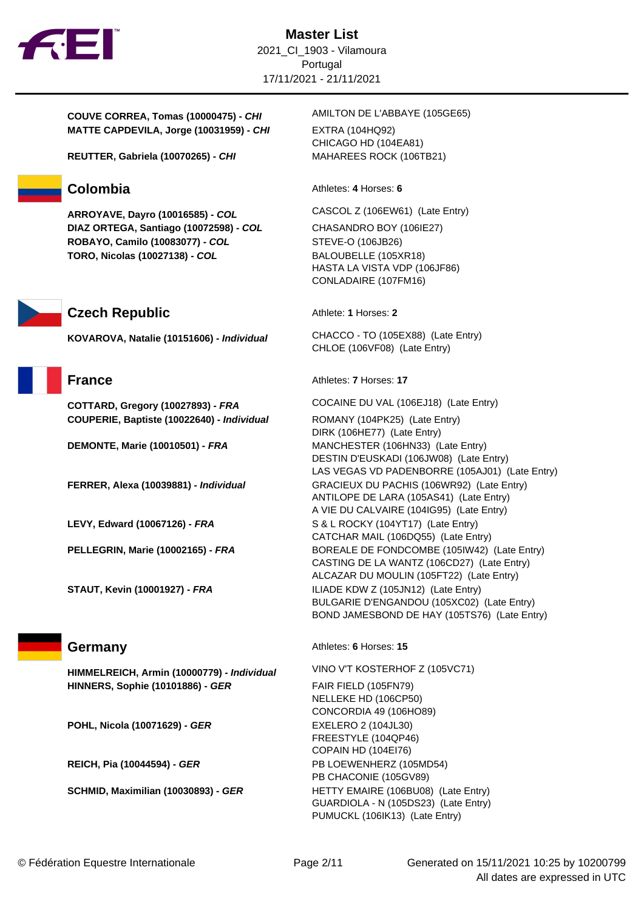

**COUVE CORREA, Tomas (10000475) - CHI** AMILTON DE L'ABBAYE (105GE65) **MATTE CAPDEVILA, Jorge (10031959) - CHI** EXTRA (104HQ92)

**REUTTER, Gabriela (10070265) - CHI** MAHAREES ROCK (106TB21)

**ARROYAVE, Dayro (10016585) - COL** CASCOL Z (106EW61) (Late Entry) **DIAZ ORTEGA, Santiago (10072598) - COL** CHASANDRO BOY (106IE27) **ROBAYO, Camilo (10083077) - COL** STEVE-O (106JB26) **TORO, Nicolas (10027138) - COL** BALOUBELLE (105XR18)

## **Czech Republic** Athlete: **1** Horses: **2**

**COUPERIE, Baptiste (10022640) - Individual** ROMANY (104PK25) (Late Entry)

**HIMMELREICH, Armin (10000779) - Individual** VINO V'T KOSTERHOF Z (105VC71) **HINNERS, Sophie (10101886) - GER** FAIR FIELD (105FN79)

**POHL, Nicola (10071629) - GER** EXELERO 2 (104JL30)

CHICAGO HD (104EA81)

**Colombia** Athletes: 4 Horses: 6

HASTA LA VISTA VDP (106JF86) CONLADAIRE (107FM16)

**KOVAROVA, Natalie (10151606) - Individual** CHACCO - TO (105EX88) (Late Entry) CHLOE (106VF08) (Late Entry)

**France** Athletes: **7** Horses: **17** 

**COTTARD, Gregory (10027893) - FRA** COCAINE DU VAL (106EJ18) (Late Entry)

DIRK (106HE77) (Late Entry) **DEMONTE, Marie (10010501) - FRA** MANCHESTER (106HN33) (Late Entry) DESTIN D'EUSKADI (106JW08) (Late Entry) LAS VEGAS VD PADENBORRE (105AJ01) (Late Entry) **FERRER, Alexa (10039881) - Individual** GRACIEUX DU PACHIS (106WR92) (Late Entry) ANTILOPE DE LARA (105AS41) (Late Entry) A VIE DU CALVAIRE (104IG95) (Late Entry) **LEVY, Edward (10067126) - FRA** S & L ROCKY (104YT17) (Late Entry) CATCHAR MAIL (106DQ55) (Late Entry) **PELLEGRIN, Marie (10002165) - FRA** BOREALE DE FONDCOMBE (105IW42) (Late Entry) CASTING DE LA WANTZ (106CD27) (Late Entry) ALCAZAR DU MOULIN (105FT22) (Late Entry) **STAUT, Kevin (10001927) - FRA** ILIADE KDW Z (105JN12) (Late Entry) BULGARIE D'ENGANDOU (105XC02) (Late Entry) BOND JAMESBOND DE HAY (105TS76) (Late Entry)

## **Germany Athletes: 6** Horses: 15

NELLEKE HD (106CP50) CONCORDIA 49 (106HO89) FREESTYLE (104QP46) COPAIN HD (104EI76) **REICH, Pia (10044594) - GER** PB LOEWENHERZ (105MD54) PB CHACONIE (105GV89) **SCHMID, Maximilian (10030893) - GER** HETTY EMAIRE (106BU08) (Late Entry) GUARDIOLA - N (105DS23) (Late Entry) PUMUCKL (106IK13) (Late Entry)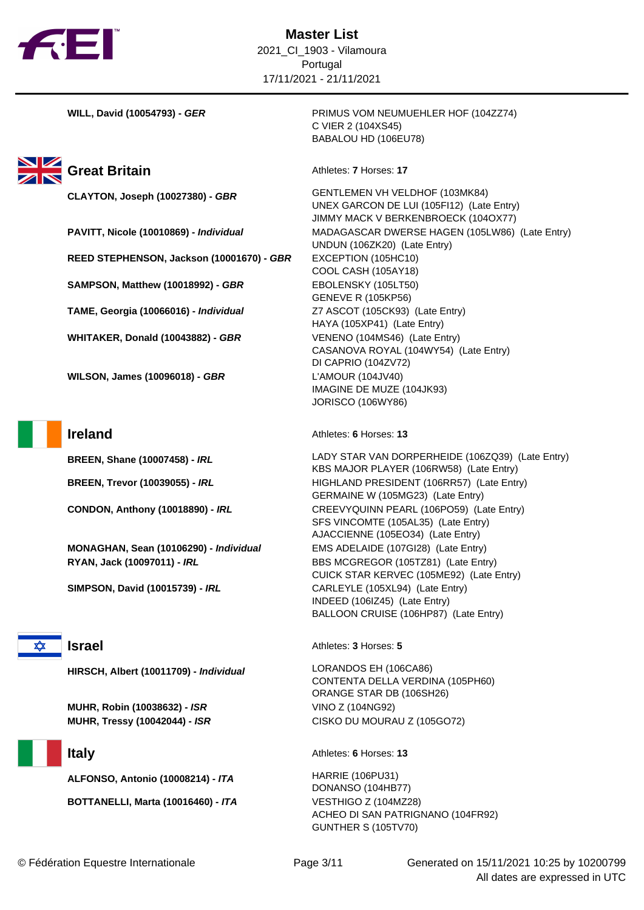



**REED STEPHENSON, Jackson (10001670) - GBR** EXCEPTION (105HC10) **SAMPSON, Matthew (10018992) - GBR** EBOLENSKY (105LT50) **TAME, Georgia (10066016) - Individual** Z7 ASCOT (105CK93) (Late Entry) **WHITAKER, Donald (10043882) - GBR** VENENO (104MS46) (Late Entry)

**WILSON, James (10096018) - GBR** L'AMOUR (104JV40)

**MONAGHAN, Sean (10106290) - Individual** EMS ADELAIDE (107GI28) (Late Entry) **RYAN, Jack (10097011) - IRL** BBS MCGREGOR (105TZ81) (Late Entry)



**MUHR, Robin (10038632) - ISR** VINO Z (104NG92) **MUHR, Tressy (10042044) - ISR** CISKO DU MOURAU Z (105GO72)

**ALFONSO, Antonio (10008214) - ITA** HARRIE (106PU31)

**BOTTANELLI, Marta (10016460) - ITA** VESTHIGO Z (104MZ28)

**WILL, David (10054793) - GER** PRIMUS VOM NEUMUEHLER HOF (104ZZ74) C VIER 2 (104XS45) BABALOU HD (106EU78)

**CLAYTON, Joseph (10027380) - GBR** GENTLEMEN VH VELDHOF (103MK84) UNEX GARCON DE LUI (105FI12) (Late Entry) JIMMY MACK V BERKENBROECK (104OX77) **PAVITT, Nicole (10010869) - Individual** MADAGASCAR DWERSE HAGEN (105LW86) (Late Entry) UNDUN (106ZK20) (Late Entry) COOL CASH (105AY18) GENEVE R (105KP56) HAYA (105XP41) (Late Entry) CASANOVA ROYAL (104WY54) (Late Entry) DI CAPRIO (104ZV72) IMAGINE DE MUZE (104JK93) JORISCO (106WY86)

**Ireland** Athletes: **6** Horses: **13** 

**BREEN, Shane (10007458) - IRL LADY STAR VAN DORPERHEIDE (106ZQ39) (Late Entry)** KBS MAJOR PLAYER (106RW58) (Late Entry) **BREEN, Trevor (10039055) -** *IRL* HIGHLAND PRESIDENT (106RR57) (Late Entry) GERMAINE W (105MG23) (Late Entry) **CONDON, Anthony (10018890) - IRL CREEVYQUINN PEARL (106PO59) (Late Entry)** SFS VINCOMTE (105AL35) (Late Entry) AJACCIENNE (105EO34) (Late Entry) CUICK STAR KERVEC (105ME92) (Late Entry) **SIMPSON, David (10015739) - IRL** CARLEYLE (105XL94) (Late Entry) INDEED (106IZ45) (Late Entry) BALLOON CRUISE (106HP87) (Late Entry)

**Israel** Athletes: **3** Horses: **5** 

**HIRSCH, Albert (10011709) - Individual** LORANDOS EH (106CA86) CONTENTA DELLA VERDINA (105PH60) ORANGE STAR DB (106SH26)

**Italy** Athletes: **6** Horses: **13** 

DONANSO (104HB77) ACHEO DI SAN PATRIGNANO (104FR92) GUNTHER S (105TV70)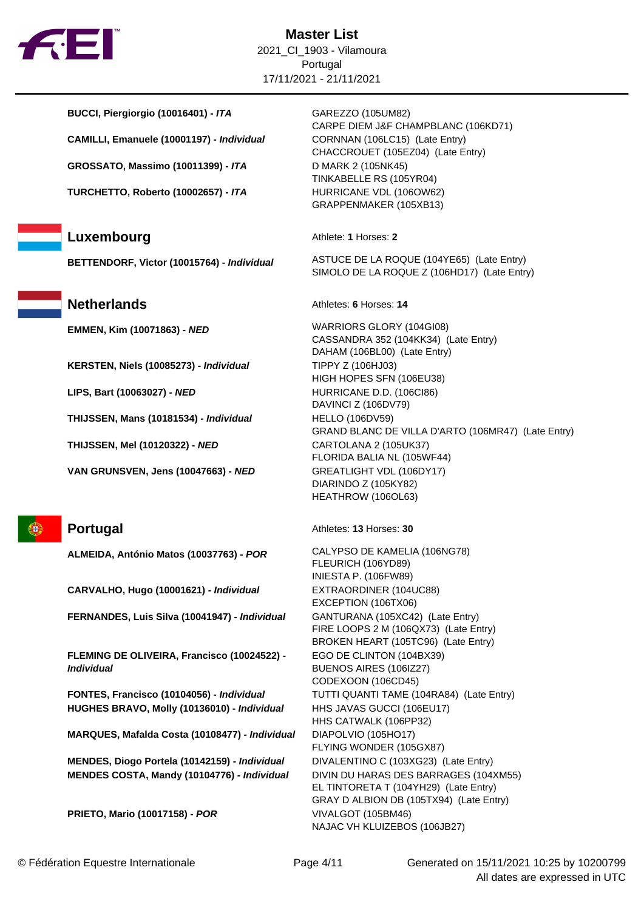

**BUCCI, Piergiorgio (10016401) - ITA** GAREZZO (105UM82) **CAMILLI, Emanuele (10001197) - Individual** CORNNAN (106LC15) (Late Entry) **GROSSATO, Massimo (10011399) - ITA** D MARK 2 (105NK45)

**TURCHETTO, Roberto (10002657) - ITA** HURRICANE VDL (106OW62)

**KERSTEN, Niels (10085273) - Individual** TIPPY Z (106HJ03)

**LIPS, Bart (10063027) - NED** HURRICANE D.D. (106Cl86)

**THIJSSEN, Mans (10181534) - Individual** HELLO (106DV59)

**THIJSSEN, Mel (10120322) - NED** CARTOLANA 2 (105UK37)

**VAN GRUNSVEN, Jens (10047663) - NED** GREATLIGHT VDL (106DY17)

GB

**CARVALHO, Hugo (10001621) - Individual** EXTRAORDINER (104UC88)

**FERNANDES, Luis Silva (10041947) - Individual** GANTURANA (105XC42) (Late Entry)

**FLEMING DE OLIVEIRA, Francisco (10024522) - Individual**

**FONTES, Francisco (10104056) - Individual** TUTTI QUANTI TAME (104RA84) (Late Entry) **HUGHES BRAVO, Molly (10136010) - Individual** HHS JAVAS GUCCI (106EU17)

**MARQUES, Mafalda Costa (10108477) - Individual** DIAPOLVIO (105HO17)

**MENDES, Diogo Portela (10142159) - Individual** DIVALENTINO C (103XG23) (Late Entry) **MENDES COSTA, Mandy (10104776) - Individual** DIVIN DU HARAS DES BARRAGES (104XM55)

**PRIETO, Mario (10017158) - POR** VIVALGOT (105BM46)

CARPE DIEM J&F CHAMPBLANC (106KD71) CHACCROUET (105EZ04) (Late Entry) TINKABELLE RS (105YR04) GRAPPENMAKER (105XB13)

**Luxembourg** Athlete: **1** Horses: 2

**BETTENDORF, Victor (10015764) - Individual** ASTUCE DE LA ROQUE (104YE65) (Late Entry) SIMOLO DE LA ROQUE Z (106HD17) (Late Entry)

**Netherlands** Athletes: **6** Horses: 14

**EMMEN, Kim (10071863) - NED** WARRIORS GLORY (104GI08) CASSANDRA 352 (104KK34) (Late Entry) DAHAM (106BL00) (Late Entry) HIGH HOPES SFN (106EU38) DAVINCI Z (106DV79) GRAND BLANC DE VILLA D'ARTO (106MR47) (Late Entry) FLORIDA BALIA NL (105WF44) DIARINDO Z (105KY82) HEATHROW (106OL63)

**Portugal** Athletes: **13** Horses: **30** 

**ALMEIDA, António Matos (10037763) - POR** CALYPSO DE KAMELIA (106NG78) FLEURICH (106YD89) INIESTA P. (106FW89) EXCEPTION (106TX06) FIRE LOOPS 2 M (106QX73) (Late Entry) BROKEN HEART (105TC96) (Late Entry) EGO DE CLINTON (104BX39) BUENOS AIRES (106IZ27) CODEXOON (106CD45) HHS CATWALK (106PP32) FLYING WONDER (105GX87) EL TINTORETA T (104YH29) (Late Entry) GRAY D ALBION DB (105TX94) (Late Entry) NAJAC VH KLUIZEBOS (106JB27)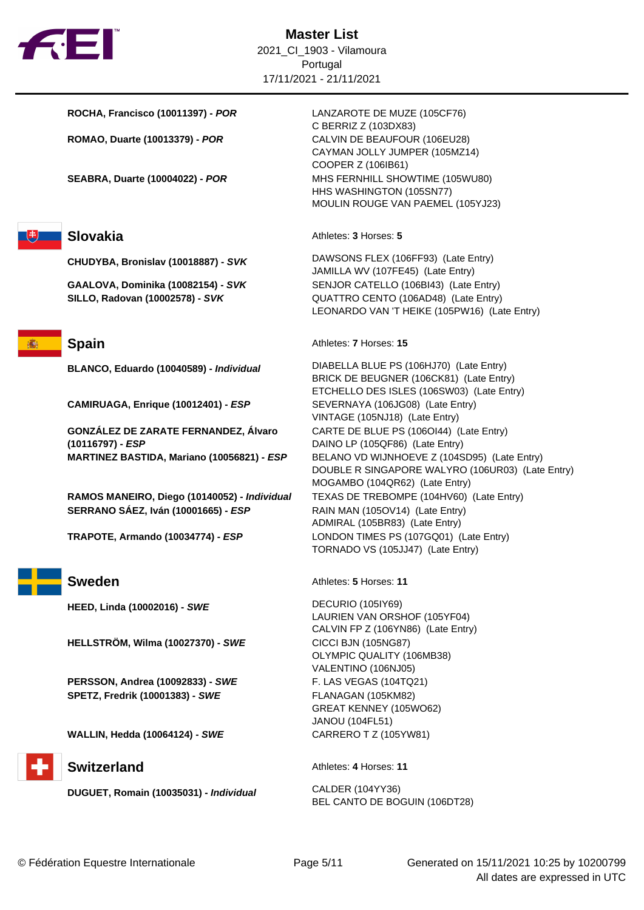

**ROCHA, Francisco (10011397) - POR** LANZAROTE DE MUZE (105CF76)



**CAMIRUAGA, Enrique (10012401) - ESP** SEVERNAYA (106JG08) (Late Entry)

**GONZÁLEZ DE ZARATE FERNANDEZ, Álvaro (10116797) - ESP**

**RAMOS MANEIRO, Diego (10140052) - Individual** TEXAS DE TREBOMPE (104HV60) (Late Entry) **SERRANO SÁEZ, Iván (10001665) - ESP** RAIN MAN (105OV14) (Late Entry)

**HEED, Linda (10002016) - SWE** DECURIO (105IY69)

**HELLSTRÖM, Wilma (10027370) - SWE** CICCI BJN (105NG87)

**PERSSON, Andrea (10092833) - SWE** F. LAS VEGAS (104TQ21) **SPETZ, Fredrik (10001383) - SWE** FLANAGAN (105KM82)

**WALLIN, Hedda (10064124) - SWE** CARRERO T Z (105YW81)

**DUGUET, Romain (10035031) - Individual** CALDER (104YY36)

C BERRIZ Z (103DX83) **ROMAO, Duarte (10013379) - POR** CALVIN DE BEAUFOUR (106EU28) CAYMAN JOLLY JUMPER (105MZ14) COOPER Z (106IB61) **SEABRA, Duarte (10004022) - POR** MHS FERNHILL SHOWTIME (105WU80) HHS WASHINGTON (105SN77) MOULIN ROUGE VAN PAEMEL (105YJ23)

**Slovakia** Athletes: **3** Horses: **5** 

**CHUDYBA, Bronislav (10018887) - SVK** DAWSONS FLEX (106FF93) (Late Entry) JAMILLA WV (107FE45) (Late Entry) **GAALOVA, Dominika (10082154) - SVK** SENJOR CATELLO (106BI43) (Late Entry) **SILLO, Radovan (10002578) - SVK** QUATTRO CENTO (106AD48) (Late Entry) LEONARDO VAN 'T HEIKE (105PW16) (Late Entry)

**Spain** Athletes: **7** Horses: **15** 

**BLANCO, Eduardo (10040589) - Individual** DIABELLA BLUE PS (106HJ70) (Late Entry) BRICK DE BEUGNER (106CK81) (Late Entry) ETCHELLO DES ISLES (106SW03) (Late Entry) VINTAGE (105NJ18) (Late Entry) CARTE DE BLUE PS (106OI44) (Late Entry) DAINO LP (105QF86) (Late Entry) **MARTINEZ BASTIDA, Mariano (10056821) - ESP** BELANO VD WIJNHOEVE Z (104SD95) (Late Entry) DOUBLE R SINGAPORE WALYRO (106UR03) (Late Entry) MOGAMBO (104QR62) (Late Entry) ADMIRAL (105BR83) (Late Entry) **TRAPOTE, Armando (10034774) - ESP** LONDON TIMES PS (107GQ01) (Late Entry) TORNADO VS (105JJ47) (Late Entry)

**Sweden** Athletes: **5** Horses: **11** 

LAURIEN VAN ORSHOF (105YF04) CALVIN FP Z (106YN86) (Late Entry) OLYMPIC QUALITY (106MB38) VALENTINO (106NJ05) GREAT KENNEY (105WO62) JANOU (104FL51)

**Switzerland** Athletes: 4 Horses: 11

BEL CANTO DE BOGUIN (106DT28)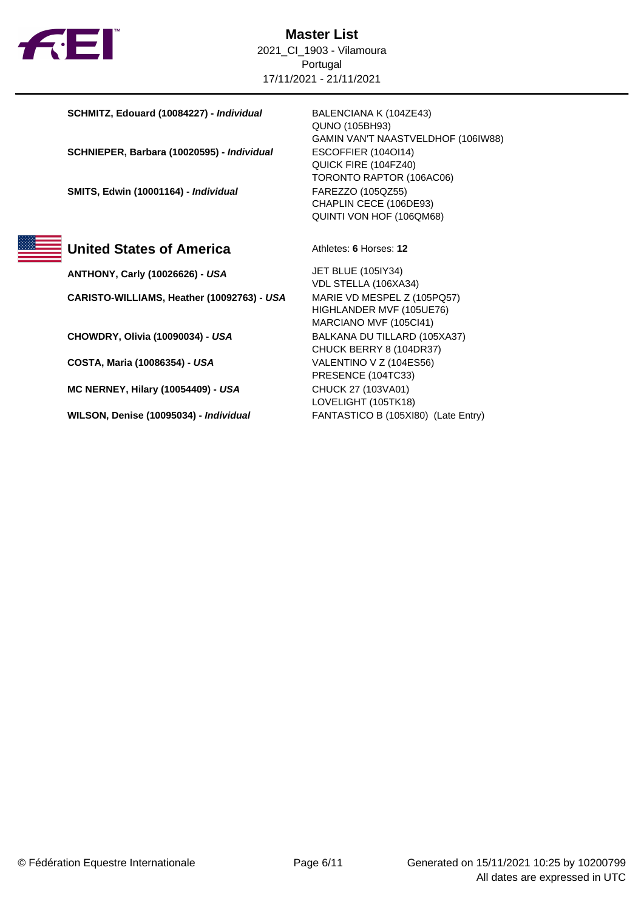

**SCHMITZ, Edouard (10084227) - Individual** BALENCIANA K (104ZE43)

**SCHNIEPER, Barbara (10020595) - Individual** ESCOFFIER (104OI14)

**SMITS, Edwin (10001164) - Individual** FAREZZO (105QZ55)



# **United States of America** Athletes: 6 Horses: 12

**ANTHONY, Carly (10026626) - USA** JET BLUE (105IY34) **CARISTO-WILLIAMS, Heather (10092763) - USA** MARIE VD MESPEL Z (105PQ57)

**CHOWDRY, Olivia (10090034) - USA** BALKANA DU TILLARD (105XA37)

**COSTA, Maria (10086354) - USA** VALENTINO V Z (104ES56)

**MC NERNEY, Hilary (10054409) - USA** CHUCK 27 (103VA01)

**WILSON, Denise (10095034) - Individual** FANTASTICO B (105XI80) (Late Entry)

QUNO (105BH93) GAMIN VAN'T NAASTVELDHOF (106IW88) QUICK FIRE (104FZ40) TORONTO RAPTOR (106AC06) CHAPLIN CECE (106DE93) QUINTI VON HOF (106QM68)

VDL STELLA (106XA34) HIGHLANDER MVF (105UE76) MARCIANO MVF (105CI41) CHUCK BERRY 8 (104DR37) PRESENCE (104TC33) LOVELIGHT (105TK18)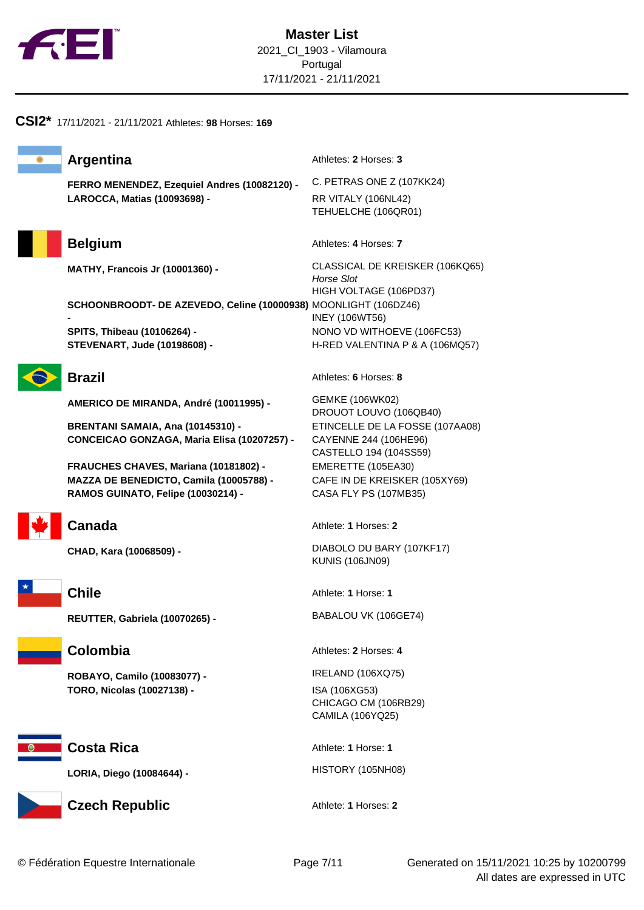



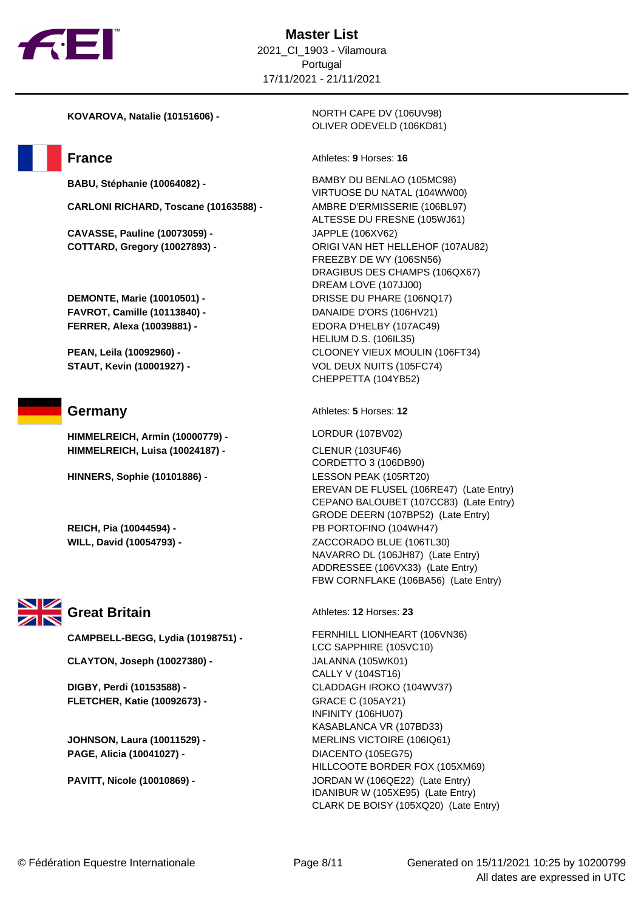

**CARLONI RICHARD, Toscane (10163588) -** AMBRE D'ERMISSERIE (106BL97)

**CAVASSE, Pauline (10073059) -** JAPPLE (106XV62)

**FAVROT, Camille (10113840) -** DANAIDE D'ORS (106HV21) **FERRER, Alexa (10039881) -** EDORA D'HELBY (107AC49)

**HIMMELREICH, Armin (10000779) -** LORDUR (107BV02) **HIMMELREICH, Luisa (10024187) -** CLENUR (103UF46)

**HINNERS, Sophie (10101886) -** LESSON PEAK (105RT20)



**CAMPBELL-BEGG, Lydia (10198751) -** FERNHILL LIONHEART (106VN36)

**CLAYTON, Joseph (10027380) -** JALANNA (105WK01)

**FLETCHER, Katie (10092673) -** GRACE C (105AY21)

**JOHNSON, Laura (10011529) - <br>MERLINS VICTOIRE (106IQ61) PAGE, Alicia (10041027) -** DIACENTO (105EG75)

**KOVAROVA, Natalie (10151606) -** NORTH CAPE DV (106UV98) OLIVER ODEVELD (106KD81)

## **France** Athletes: **9** Horses: 16

**BABU, Stéphanie (10064082) -** BAMBY DU BENLAO (105MC98) VIRTUOSE DU NATAL (104WW00) ALTESSE DU FRESNE (105WJ61) **COTTARD, Gregory (10027893) -** ORIGI VAN HET HELLEHOF (107AU82) FREEZBY DE WY (106SN56) DRAGIBUS DES CHAMPS (106QX67) DREAM LOVE (107JJ00) **DEMONTE, Marie (10010501) -** DRISSE DU PHARE (106NQ17) HELIUM D.S. (106IL35) **PEAN, Leila (10092960) -** CLOONEY VIEUX MOULIN (106FT34) **STAUT, Kevin (10001927) - <br>
VOL DEUX NUITS (105FC74)** CHEPPETTA (104YB52)

**Germany Athletes: 5** Horses: 12

CORDETTO 3 (106DB90) EREVAN DE FLUSEL (106RE47) (Late Entry) CEPANO BALOUBET (107CC83) (Late Entry) GRODE DEERN (107BP52) (Late Entry) **REICH, Pia (10044594) -** PB PORTOFINO (104WH47) **WILL, David (10054793) -** ZACCORADO BLUE (106TL30) NAVARRO DL (106JH87) (Late Entry) ADDRESSEE (106VX33) (Late Entry) FBW CORNFLAKE (106BA56) (Late Entry)

Great Britain **Athletes: 12 Horses: 23** 

LCC SAPPHIRE (105VC10) CALLY V (104ST16) **DIGBY, Perdi (10153588) -** CLADDAGH IROKO (104WV37) INFINITY (106HU07) KASABLANCA VR (107BD33) HILLCOOTE BORDER FOX (105XM69) **PAVITT, Nicole (10010869) -** JORDAN W (106QE22) (Late Entry) IDANIBUR W (105XE95) (Late Entry) CLARK DE BOISY (105XQ20) (Late Entry)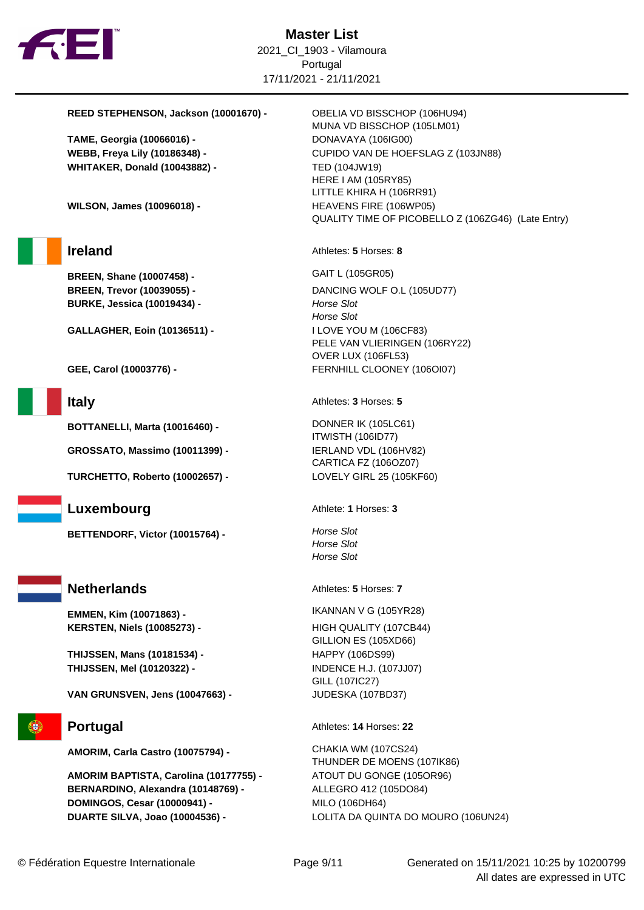

## **REED STEPHENSON, Jackson (10001670) -** OBELIA VD BISSCHOP (106HU94)

**TAME, Georgia (10066016) -** DONAVAYA (106IG00) **WHITAKER, Donald (10043882) -** TED (104JW19)

**WILSON, James (10096018) -** HEAVENS FIRE (106WP05)

**BREEN, Shane (10007458) -** GAIT L (105GR05) **BURKE, Jessica (10019434) - <br>
Horse Slot** 

**GALLAGHER, Eoin (10136511) -** I LOVE YOU M (106CF83)

**BOTTANELLI, Marta (10016460) -** DONNER IK (105LC61)

**GROSSATO, Massimo (10011399) -** IERLAND VDL (106HV82)

**TURCHETTO, Roberto (10002657) -** LOVELY GIRL 25 (105KF60)

# **Luxembourg** Athlete: **1** Horses: **3**

**BETTENDORF, Victor (10015764) - Horse Slot** 

# **Netherlands** Athletes: **5** Horses: **7**

**EMMEN, Kim (10071863) -** IKANNAN V G (105YR28) **KERSTEN, Niels (10085273) -** HIGH QUALITY (107CB44)

**THIJSSEN, Mans (10181534) -** HAPPY (106DS99) **THIJSSEN, Mel (10120322) -** INDENCE H.J. (107JJ07)

**VAN GRUNSVEN, Jens (10047663) -** JUDESKA (107BD37)

**AMORIM, Carla Castro (10075794) -** CHAKIA WM (107CS24)

**AMORIM BAPTISTA, Carolina (10177755) -** ATOUT DU GONGE (105OR96) **BERNARDINO, Alexandra (10148769) -** ALLEGRO 412 (105DO84) **DOMINGOS, Cesar (10000941) - <br>MILO (106DH64) DUARTE SILVA, Joao (10004536) -** LOLITA DA QUINTA DO MOURO (106UN24)

MUNA VD BISSCHOP (105LM01) **WEBB, Freya Lily (10186348) -** CUPIDO VAN DE HOEFSLAG Z (103JN88) HERE I AM (105RY85) LITTLE KHIRA H (106RR91) QUALITY TIME OF PICOBELLO Z (106ZG46) (Late Entry)

**Ireland** Athletes: **5** Horses: **8** 

**BREEN, Trevor (10039055) -** DANCING WOLF O.L (105UD77) Horse Slot PELE VAN VLIERINGEN (106RY22) OVER LUX (106FL53) **GEE, Carol (10003776) -** FERNHILL CLOONEY (106OI07)

**Italy** Athletes: **3** Horses: **5** 

ITWISTH (106ID77) CARTICA FZ (106OZ07)

Horse Slot Horse Slot

GILLION ES (105XD66) GILL (107IC27)

**Portugal** Athletes: **14** Horses: **22** 

THUNDER DE MOENS (107IK86)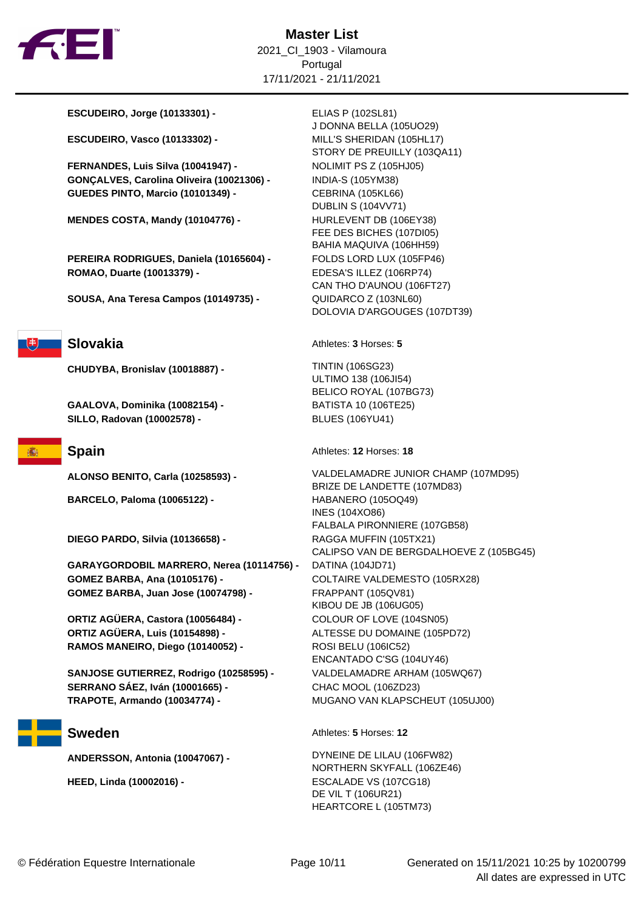

**ESCUDEIRO, Jorge (10133301) -** ELIAS P (102SL81)

**ESCUDEIRO, Vasco (10133302) -** MILL'S SHERIDAN (105HL17)

**FERNANDES, Luis Silva (10041947) -** NOLIMIT PS Z (105HJ05) **GONÇALVES, Carolina Oliveira (10021306) -** INDIA-S (105YM38) **GUEDES PINTO, Marcio (10101349) -** CEBRINA (105KL66)

**MENDES COSTA, Mandy (10104776) -** HURLEVENT DB (106EY38)

**PEREIRA RODRIGUES, Daniela (10165604) -** FOLDS LORD LUX (105FP46) **ROMAO, Duarte (10013379) -** EDESA'S ILLEZ (106RP74)

**SOUSA, Ana Teresa Campos (10149735) -** QUIDARCO Z (103NL60)

**CHUDYBA, Bronislav (10018887) -** TINTIN (106SG23)

**GAALOVA, Dominika (10082154) -** BATISTA 10 (106TE25) **SILLO, Radovan (10002578) -** BLUES (106YU41)

**BARCELO, Paloma (10065122) -** HABANERO (105OQ49)

**DIEGO PARDO, Silvia (10136658) -** RAGGA MUFFIN (105TX21)

**GARAYGORDOBIL MARRERO, Nerea (10114756) -** DATINA (104JD71) **GOMEZ BARBA, Ana (10105176) -** COLTAIRE VALDEMESTO (105RX28) **GOMEZ BARBA, Juan Jose (10074798) -** FRAPPANT (105QV81)

**ORTIZ AGÜERA, Castora (10056484) -** COLOUR OF LOVE (104SN05) **ORTIZ AGÜERA, Luis (10154898) -** ALTESSE DU DOMAINE (105PD72) **RAMOS MANEIRO, Diego (10140052) -** ROSI BELU (106IC52)

**SANJOSE GUTIERREZ, Rodrigo (10258595) -** VALDELAMADRE ARHAM (105WQ67) **SERRANO SÁEZ, Iván (10001665) -** CHAC MOOL (106ZD23) **TRAPOTE, Armando (10034774) -** MUGANO VAN KLAPSCHEUT (105UJ00)

J DONNA BELLA (105UO29) STORY DE PREUILLY (103QA11) DUBLIN S (104VV71) FEE DES BICHES (107DI05) BAHIA MAQUIVA (106HH59) CAN THO D'AUNOU (106FT27) DOLOVIA D'ARGOUGES (107DT39)

**Slovakia** Athletes: **3** Horses: **5** 

ULTIMO 138 (106JI54) BELICO ROYAL (107BG73)

**Spain** Athletes: **12** Horses: **18** 

**ALONSO BENITO, Carla (10258593) -** VALDELAMADRE JUNIOR CHAMP (107MD95) BRIZE DE LANDETTE (107MD83) INES (104XO86) FALBALA PIRONNIERE (107GB58) CALIPSO VAN DE BERGDALHOEVE Z (105BG45) KIBOU DE JB (106UG05) ENCANTADO C'SG (104UY46)

**Sweden** Athletes: **5** Horses: **12** 

**ANDERSSON, Antonia (10047067) -** DYNEINE DE LILAU (106FW82) NORTHERN SKYFALL (106ZE46) **HEED, Linda (10002016) -** ESCALADE VS (107CG18) DE VIL T (106UR21) HEARTCORE L (105TM73)